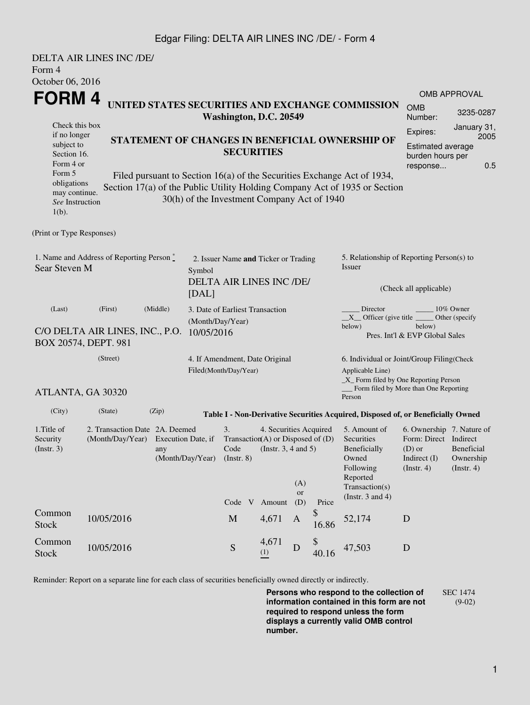### Edgar Filing: DELTA AIR LINES INC /DE/ - Form 4

| Form 4                                                                                                                                                                                                                                                                                                                                                                                                                                                      | <b>DELTA AIR LINES INC /DE/</b>                                                |                                                                                                  |  |                                                                  |                                                                                                                 |                         |             |                                                                                                                                                                                                             |                                                                                                               |                          |  |
|-------------------------------------------------------------------------------------------------------------------------------------------------------------------------------------------------------------------------------------------------------------------------------------------------------------------------------------------------------------------------------------------------------------------------------------------------------------|--------------------------------------------------------------------------------|--------------------------------------------------------------------------------------------------|--|------------------------------------------------------------------|-----------------------------------------------------------------------------------------------------------------|-------------------------|-------------|-------------------------------------------------------------------------------------------------------------------------------------------------------------------------------------------------------------|---------------------------------------------------------------------------------------------------------------|--------------------------|--|
|                                                                                                                                                                                                                                                                                                                                                                                                                                                             | October 06, 2016<br>FORM 4<br>UNITED STATES SECURITIES AND EXCHANGE COMMISSION |                                                                                                  |  |                                                                  |                                                                                                                 |                         |             |                                                                                                                                                                                                             | <b>OMB APPROVAL</b><br><b>OMB</b><br>3235-0287                                                                |                          |  |
| Washington, D.C. 20549<br>Check this box<br>if no longer<br>STATEMENT OF CHANGES IN BENEFICIAL OWNERSHIP OF<br>subject to<br><b>SECURITIES</b><br>Section 16.<br>Form 4 or<br>Form 5<br>Filed pursuant to Section 16(a) of the Securities Exchange Act of 1934,<br>obligations<br>Section 17(a) of the Public Utility Holding Company Act of 1935 or Section<br>may continue.<br>30(h) of the Investment Company Act of 1940<br>See Instruction<br>$1(b)$ . |                                                                                |                                                                                                  |  |                                                                  |                                                                                                                 |                         |             |                                                                                                                                                                                                             | Number:<br>January 31,<br>Expires:<br>2005<br><b>Estimated average</b><br>burden hours per<br>0.5<br>response |                          |  |
| (Print or Type Responses)                                                                                                                                                                                                                                                                                                                                                                                                                                   |                                                                                |                                                                                                  |  |                                                                  |                                                                                                                 |                         |             |                                                                                                                                                                                                             |                                                                                                               |                          |  |
| 1. Name and Address of Reporting Person $\degree$<br>Sear Steven M<br>Symbol<br>[DAL]                                                                                                                                                                                                                                                                                                                                                                       |                                                                                |                                                                                                  |  | 2. Issuer Name and Ticker or Trading<br>DELTA AIR LINES INC /DE/ |                                                                                                                 |                         |             | 5. Relationship of Reporting Person(s) to<br>Issuer<br>(Check all applicable)                                                                                                                               |                                                                                                               |                          |  |
| (First)<br>(Middle)<br>(Last)<br>(Month/Day/Year)<br>C/O DELTA AIR LINES, INC., P.O.<br>10/05/2016<br>BOX 20574, DEPT. 981                                                                                                                                                                                                                                                                                                                                  |                                                                                |                                                                                                  |  | 3. Date of Earliest Transaction                                  |                                                                                                                 |                         |             | Director<br>$10\%$ Owner<br>$X$ Officer (give title $\frac{X}{X}$<br>Other (specify<br>below)<br>below)<br>Pres. Int'l & EVP Global Sales                                                                   |                                                                                                               |                          |  |
| (Street)<br>ATLANTA, GA 30320                                                                                                                                                                                                                                                                                                                                                                                                                               |                                                                                |                                                                                                  |  | 4. If Amendment, Date Original<br>Filed(Month/Day/Year)          |                                                                                                                 |                         |             | 6. Individual or Joint/Group Filing(Check<br>Applicable Line)<br>$\_X$ Form filed by One Reporting Person<br>Form filed by More than One Reporting                                                          |                                                                                                               |                          |  |
| (City)                                                                                                                                                                                                                                                                                                                                                                                                                                                      | (State)                                                                        | (Zip)                                                                                            |  |                                                                  |                                                                                                                 |                         |             | Person                                                                                                                                                                                                      |                                                                                                               |                          |  |
| 1. Title of<br>Security<br>(Insert. 3)                                                                                                                                                                                                                                                                                                                                                                                                                      |                                                                                | 2. Transaction Date 2A. Deemed<br>(Month/Day/Year) Execution Date, if<br>any<br>(Month/Day/Year) |  |                                                                  | 4. Securities Acquired<br>Transaction(A) or Disposed of $(D)$<br>Code (Instr. $3, 4$ and $5$ )<br>Code V Amount | (A)<br><b>or</b><br>(D) | Price       | Table I - Non-Derivative Securities Acquired, Disposed of, or Beneficially Owned<br>5. Amount of<br>Securities<br>Beneficially<br>Owned<br>Following<br>Reported<br>Transaction(s)<br>(Instr. $3$ and $4$ ) | 6. Ownership 7. Nature of<br>Form: Direct Indirect<br>(D) or Beneficial<br>Indirect $(I)$<br>(Instr. 4)       | Ownership<br>(Insert. 4) |  |
| Common<br><b>Stock</b>                                                                                                                                                                                                                                                                                                                                                                                                                                      | 10/05/2016                                                                     |                                                                                                  |  | $\mathbf M$                                                      | 4,671                                                                                                           | A                       | \$<br>16.86 | 52,174                                                                                                                                                                                                      | D                                                                                                             |                          |  |
| Common<br><b>Stock</b>                                                                                                                                                                                                                                                                                                                                                                                                                                      | 10/05/2016                                                                     |                                                                                                  |  | ${\mathbf S}$                                                    | 4,671<br>(1)                                                                                                    | D                       | \$<br>40.16 | 47,503                                                                                                                                                                                                      | D                                                                                                             |                          |  |

Reminder: Report on a separate line for each class of securities beneficially owned directly or indirectly.

**Persons who respond to the collection of information contained in this form are not required to respond unless the form displays a currently valid OMB control number.** SEC 1474 (9-02)